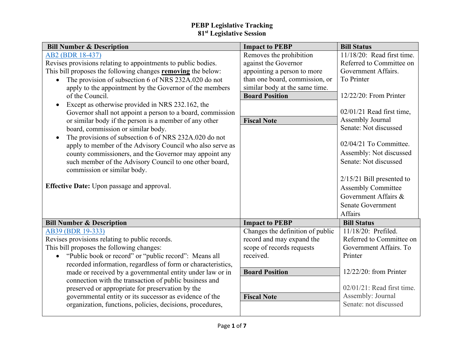| <b>Bill Number &amp; Description</b>                               | <b>Impact to PEBP</b>            | <b>Bill Status</b>            |
|--------------------------------------------------------------------|----------------------------------|-------------------------------|
| AB2 (BDR 18-437)                                                   | Removes the prohibition          | 11/18/20: Read first time.    |
| Revises provisions relating to appointments to public bodies.      | against the Governor             | Referred to Committee on      |
| This bill proposes the following changes removing the below:       | appointing a person to more      | Government Affairs.           |
| The provision of subsection 6 of NRS 232A.020 do not               | than one board, commission, or   | To Printer                    |
| apply to the appointment by the Governor of the members            | similar body at the same time.   |                               |
| of the Council.                                                    | <b>Board Position</b>            | 12/22/20: From Printer        |
| Except as otherwise provided in NRS 232.162, the<br>$\bullet$      |                                  |                               |
| Governor shall not appoint a person to a board, commission         |                                  | $02/01/21$ Read first time,   |
| or similar body if the person is a member of any other             | <b>Fiscal Note</b>               | Assembly Journal              |
| board, commission or similar body.                                 |                                  | Senate: Not discussed         |
| The provisions of subsection 6 of NRS 232A.020 do not<br>$\bullet$ |                                  |                               |
| apply to member of the Advisory Council who also serve as          |                                  | 02/04/21 To Committee.        |
| county commissioners, and the Governor may appoint any             |                                  | Assembly: Not discussed       |
| such member of the Advisory Council to one other board,            |                                  | Senate: Not discussed         |
| commission or similar body.                                        |                                  |                               |
|                                                                    |                                  | $2/15/21$ Bill presented to   |
| <b>Effective Date:</b> Upon passage and approval.                  |                                  | <b>Assembly Committee</b>     |
|                                                                    |                                  | Government Affairs &          |
|                                                                    |                                  | <b>Senate Government</b>      |
|                                                                    |                                  | Affairs                       |
| <b>Bill Number &amp; Description</b>                               | <b>Impact to PEBP</b>            | <b>Bill Status</b>            |
| AB39 (BDR 19-333)                                                  | Changes the definition of public | 11/18/20: Prefiled.           |
| Revises provisions relating to public records.                     | record and may expand the        | Referred to Committee on      |
| This bill proposes the following changes:                          | scope of records requests        | Government Affairs. To        |
| "Public book or record" or "public record": Means all<br>$\bullet$ | received.                        | Printer                       |
| recorded information, regardless of form or characteristics,       |                                  |                               |
| made or received by a governmental entity under law or in          | <b>Board Position</b>            | $12/22/20$ : from Printer     |
| connection with the transaction of public business and             |                                  |                               |
| preserved or appropriate for preservation by the                   |                                  | $02/01/21$ : Read first time. |
| governmental entity or its successor as evidence of the            | <b>Fiscal Note</b>               | Assembly: Journal             |
| organization, functions, policies, decisions, procedures,          |                                  | Senate: not discussed         |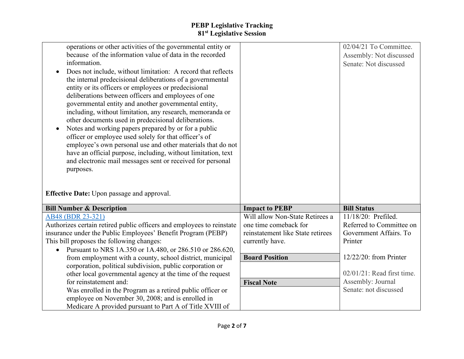| operations or other activities of the governmental entity or<br>because of the information value of data in the recorded<br>information.<br>Does not include, without limitation: A record that reflects<br>the internal predecisional deliberations of a governmental<br>entity or its officers or employees or predecisional<br>deliberations between officers and employees of one<br>governmental entity and another governmental entity,<br>including, without limitation, any research, memoranda or<br>other documents used in predecisional deliberations.<br>Notes and working papers prepared by or for a public<br>officer or employee used solely for that officer's of<br>employee's own personal use and other materials that do not<br>have an official purpose, including, without limitation, text<br>and electronic mail messages sent or received for personal<br>purposes.<br><b>Effective Date:</b> Upon passage and approval. |                                                          | 02/04/21 To Committee.<br>Assembly: Not discussed<br>Senate: Not discussed |
|-----------------------------------------------------------------------------------------------------------------------------------------------------------------------------------------------------------------------------------------------------------------------------------------------------------------------------------------------------------------------------------------------------------------------------------------------------------------------------------------------------------------------------------------------------------------------------------------------------------------------------------------------------------------------------------------------------------------------------------------------------------------------------------------------------------------------------------------------------------------------------------------------------------------------------------------------------|----------------------------------------------------------|----------------------------------------------------------------------------|
|                                                                                                                                                                                                                                                                                                                                                                                                                                                                                                                                                                                                                                                                                                                                                                                                                                                                                                                                                     |                                                          |                                                                            |
| <b>Bill Number &amp; Description</b>                                                                                                                                                                                                                                                                                                                                                                                                                                                                                                                                                                                                                                                                                                                                                                                                                                                                                                                | <b>Impact to PEBP</b><br>Will allow Non-State Retirees a | <b>Bill Status</b><br>11/18/20: Prefiled.                                  |
| AB48 (BDR 23-321)                                                                                                                                                                                                                                                                                                                                                                                                                                                                                                                                                                                                                                                                                                                                                                                                                                                                                                                                   | one time comeback for                                    | Referred to Committee on                                                   |
| Authorizes certain retired public officers and employees to reinstate<br>insurance under the Public Employees' Benefit Program (PEBP)                                                                                                                                                                                                                                                                                                                                                                                                                                                                                                                                                                                                                                                                                                                                                                                                               | reinstatement like State retirees                        | Government Affairs. To                                                     |
| This bill proposes the following changes:                                                                                                                                                                                                                                                                                                                                                                                                                                                                                                                                                                                                                                                                                                                                                                                                                                                                                                           | currently have.                                          | Printer                                                                    |
| Pursuant to NRS 1A.350 or 1A.480, or 286.510 or 286.620,                                                                                                                                                                                                                                                                                                                                                                                                                                                                                                                                                                                                                                                                                                                                                                                                                                                                                            |                                                          |                                                                            |
| from employment with a county, school district, municipal                                                                                                                                                                                                                                                                                                                                                                                                                                                                                                                                                                                                                                                                                                                                                                                                                                                                                           | <b>Board Position</b>                                    | $12/22/20$ : from Printer                                                  |
| corporation, political subdivision, public corporation or                                                                                                                                                                                                                                                                                                                                                                                                                                                                                                                                                                                                                                                                                                                                                                                                                                                                                           |                                                          |                                                                            |
| other local governmental agency at the time of the request                                                                                                                                                                                                                                                                                                                                                                                                                                                                                                                                                                                                                                                                                                                                                                                                                                                                                          |                                                          | $02/01/21$ : Read first time.                                              |
| for reinstatement and:                                                                                                                                                                                                                                                                                                                                                                                                                                                                                                                                                                                                                                                                                                                                                                                                                                                                                                                              | <b>Fiscal Note</b>                                       | Assembly: Journal                                                          |
| Was enrolled in the Program as a retired public officer or                                                                                                                                                                                                                                                                                                                                                                                                                                                                                                                                                                                                                                                                                                                                                                                                                                                                                          |                                                          | Senate: not discussed                                                      |
| employee on November 30, 2008; and is enrolled in                                                                                                                                                                                                                                                                                                                                                                                                                                                                                                                                                                                                                                                                                                                                                                                                                                                                                                   |                                                          |                                                                            |
| Medicare A provided pursuant to Part A of Title XVIII of                                                                                                                                                                                                                                                                                                                                                                                                                                                                                                                                                                                                                                                                                                                                                                                                                                                                                            |                                                          |                                                                            |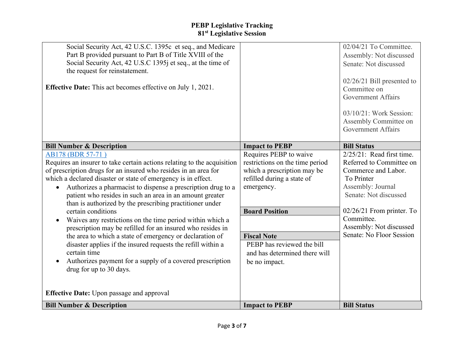| Social Security Act, 42 U.S.C. 1395c et seq., and Medicare<br>Part B provided pursuant to Part B of Title XVIII of the<br>Social Security Act, 42 U.S.C 1395j et seq., at the time of<br>the request for reinstatement.<br><b>Effective Date:</b> This act becomes effective on July 1, 2021.                                                                                                                                                                                                                                                                                                                                                                                                                                                                                                                                                                     |                                                                                                                                                                                                                                                                     | 02/04/21 To Committee.<br>Assembly: Not discussed<br>Senate: Not discussed<br>$02/26/21$ Bill presented to<br>Committee on<br><b>Government Affairs</b><br>03/10/21: Work Session:<br>Assembly Committee on<br><b>Government Affairs</b>        |
|-------------------------------------------------------------------------------------------------------------------------------------------------------------------------------------------------------------------------------------------------------------------------------------------------------------------------------------------------------------------------------------------------------------------------------------------------------------------------------------------------------------------------------------------------------------------------------------------------------------------------------------------------------------------------------------------------------------------------------------------------------------------------------------------------------------------------------------------------------------------|---------------------------------------------------------------------------------------------------------------------------------------------------------------------------------------------------------------------------------------------------------------------|-------------------------------------------------------------------------------------------------------------------------------------------------------------------------------------------------------------------------------------------------|
| <b>Bill Number &amp; Description</b>                                                                                                                                                                                                                                                                                                                                                                                                                                                                                                                                                                                                                                                                                                                                                                                                                              | <b>Impact to PEBP</b>                                                                                                                                                                                                                                               | <b>Bill Status</b>                                                                                                                                                                                                                              |
| AB178 (BDR 57-71)<br>Requires an insurer to take certain actions relating to the acquisition<br>of prescription drugs for an insured who resides in an area for<br>which a declared disaster or state of emergency is in effect.<br>Authorizes a pharmacist to dispense a prescription drug to a<br>patient who resides in such an area in an amount greater<br>than is authorized by the prescribing practitioner under<br>certain conditions<br>Waives any restrictions on the time period within which a<br>prescription may be refilled for an insured who resides in<br>the area to which a state of emergency or declaration of<br>disaster applies if the insured requests the refill within a<br>certain time<br>Authorizes payment for a supply of a covered prescription<br>drug for up to 30 days.<br><b>Effective Date:</b> Upon passage and approval | Requires PEBP to waive<br>restrictions on the time period<br>which a prescription may be<br>refilled during a state of<br>emergency.<br><b>Board Position</b><br><b>Fiscal Note</b><br>PEBP has reviewed the bill<br>and has determined there will<br>be no impact. | $2/25/21$ : Read first time.<br>Referred to Committee on<br>Commerce and Labor.<br>To Printer<br>Assembly: Journal<br>Senate: Not discussed<br>$02/26/21$ From printer. To<br>Committee.<br>Assembly: Not discussed<br>Senate: No Floor Session |
| <b>Bill Number &amp; Description</b>                                                                                                                                                                                                                                                                                                                                                                                                                                                                                                                                                                                                                                                                                                                                                                                                                              | <b>Impact to PEBP</b>                                                                                                                                                                                                                                               | <b>Bill Status</b>                                                                                                                                                                                                                              |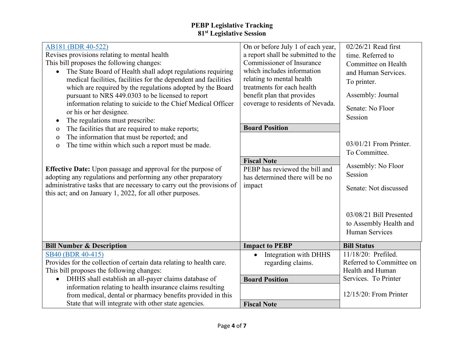| AB181 (BDR 40-522)<br>Revises provisions relating to mental health<br>This bill proposes the following changes:<br>The State Board of Health shall adopt regulations requiring<br>medical facilities, facilities for the dependent and facilities<br>which are required by the regulations adopted by the Board<br>pursuant to NRS 449.0303 to be licensed to report<br>information relating to suicide to the Chief Medical Officer<br>or his or her designee.<br>The regulations must prescribe:<br>$\bullet$<br>The facilities that are required to make reports;<br>$\mathbf{0}$<br>The information that must be reported; and<br>$\mathbf 0$<br>The time within which such a report must be made.<br>$\mathbf 0$<br><b>Effective Date:</b> Upon passage and approval for the purpose of<br>adopting any regulations and performing any other preparatory<br>administrative tasks that are necessary to carry out the provisions of<br>this act; and on January 1, 2022, for all other purposes. | On or before July 1 of each year,<br>a report shall be submitted to the<br>Commissioner of Insurance<br>which includes information<br>relating to mental health<br>treatments for each health<br>benefit plan that provides<br>coverage to residents of Nevada.<br><b>Board Position</b><br><b>Fiscal Note</b><br>PEBP has reviewed the bill and<br>has determined there will be no<br>impact | $02/26/21$ Read first<br>time. Referred to<br>Committee on Health<br>and Human Services.<br>To printer.<br>Assembly: Journal<br>Senate: No Floor<br>Session<br>$03/01/21$ From Printer.<br>To Committee.<br>Assembly: No Floor<br>Session<br>Senate: Not discussed<br>03/08/21 Bill Presented<br>to Assembly Health and<br><b>Human Services</b> |
|------------------------------------------------------------------------------------------------------------------------------------------------------------------------------------------------------------------------------------------------------------------------------------------------------------------------------------------------------------------------------------------------------------------------------------------------------------------------------------------------------------------------------------------------------------------------------------------------------------------------------------------------------------------------------------------------------------------------------------------------------------------------------------------------------------------------------------------------------------------------------------------------------------------------------------------------------------------------------------------------------|-----------------------------------------------------------------------------------------------------------------------------------------------------------------------------------------------------------------------------------------------------------------------------------------------------------------------------------------------------------------------------------------------|--------------------------------------------------------------------------------------------------------------------------------------------------------------------------------------------------------------------------------------------------------------------------------------------------------------------------------------------------|
| <b>Bill Number &amp; Description</b>                                                                                                                                                                                                                                                                                                                                                                                                                                                                                                                                                                                                                                                                                                                                                                                                                                                                                                                                                                 | <b>Impact to PEBP</b>                                                                                                                                                                                                                                                                                                                                                                         | <b>Bill Status</b>                                                                                                                                                                                                                                                                                                                               |
| SB40 (BDR 40-415)<br>Provides for the collection of certain data relating to health care.<br>This bill proposes the following changes:<br>DHHS shall establish an all-payer claims database of<br>$\bullet$                                                                                                                                                                                                                                                                                                                                                                                                                                                                                                                                                                                                                                                                                                                                                                                          | Integration with DHHS<br>$\bullet$<br>regarding claims.<br><b>Board Position</b>                                                                                                                                                                                                                                                                                                              | 11/18/20: Prefiled.<br>Referred to Committee on<br>Health and Human<br>Services. To Printer                                                                                                                                                                                                                                                      |
| information relating to health insurance claims resulting<br>from medical, dental or pharmacy benefits provided in this<br>State that will integrate with other state agencies.                                                                                                                                                                                                                                                                                                                                                                                                                                                                                                                                                                                                                                                                                                                                                                                                                      | <b>Fiscal Note</b>                                                                                                                                                                                                                                                                                                                                                                            | $12/15/20$ : From Printer                                                                                                                                                                                                                                                                                                                        |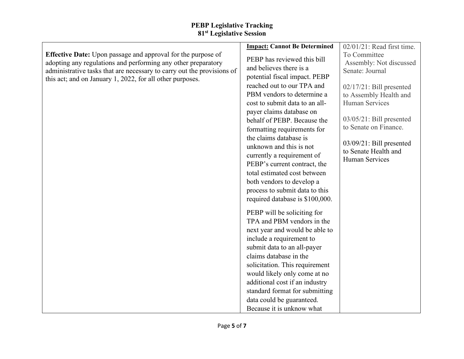|                                                                                                                                                                                                                | <b>Impact: Cannot Be Determined</b>                                                                                                                                                                                                                                                                                                                                                                                                                                                | 02/01/21: Read first time.                                                                                                                                                                               |
|----------------------------------------------------------------------------------------------------------------------------------------------------------------------------------------------------------------|------------------------------------------------------------------------------------------------------------------------------------------------------------------------------------------------------------------------------------------------------------------------------------------------------------------------------------------------------------------------------------------------------------------------------------------------------------------------------------|----------------------------------------------------------------------------------------------------------------------------------------------------------------------------------------------------------|
| <b>Effective Date:</b> Upon passage and approval for the purpose of<br>adopting any regulations and performing any other preparatory<br>administrative tasks that are necessary to carry out the provisions of | PEBP has reviewed this bill<br>and believes there is a                                                                                                                                                                                                                                                                                                                                                                                                                             | To Committee<br>Assembly: Not discussed<br>Senate: Journal                                                                                                                                               |
| this act; and on January 1, 2022, for all other purposes.                                                                                                                                                      | potential fiscal impact. PEBP<br>reached out to our TPA and<br>PBM vendors to determine a<br>cost to submit data to an all-<br>payer claims database on<br>behalf of PEBP. Because the<br>formatting requirements for<br>the claims database is<br>unknown and this is not<br>currently a requirement of<br>PEBP's current contract, the<br>total estimated cost between                                                                                                           | $02/17/21$ : Bill presented<br>to Assembly Health and<br>Human Services<br>$03/05/21$ : Bill presented<br>to Senate on Finance.<br>$03/09/21$ : Bill presented<br>to Senate Health and<br>Human Services |
|                                                                                                                                                                                                                | both vendors to develop a<br>process to submit data to this<br>required database is \$100,000.<br>PEBP will be soliciting for<br>TPA and PBM vendors in the<br>next year and would be able to<br>include a requirement to<br>submit data to an all-payer<br>claims database in the<br>solicitation. This requirement<br>would likely only come at no<br>additional cost if an industry<br>standard format for submitting<br>data could be guaranteed.<br>Because it is unknow what |                                                                                                                                                                                                          |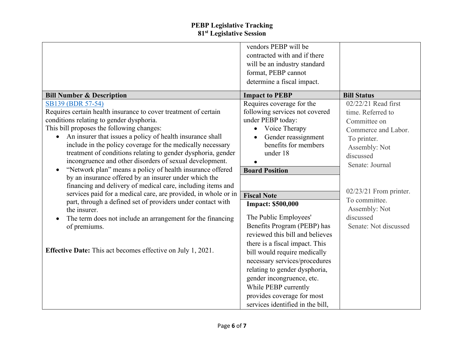|                                                                                                                               | vendors PEBP will be<br>contracted with and if there<br>will be an industry standard |                          |
|-------------------------------------------------------------------------------------------------------------------------------|--------------------------------------------------------------------------------------|--------------------------|
|                                                                                                                               | format, PEBP cannot                                                                  |                          |
|                                                                                                                               | determine a fiscal impact.                                                           |                          |
| <b>Bill Number &amp; Description</b>                                                                                          | <b>Impact to PEBP</b>                                                                | <b>Bill Status</b>       |
| SB139 (BDR 57-54)                                                                                                             | Requires coverage for the                                                            | 02/22/21 Read first      |
| Requires certain health insurance to cover treatment of certain                                                               | following services not covered                                                       | time. Referred to        |
| conditions relating to gender dysphoria.                                                                                      | under PEBP today:                                                                    | Committee on             |
| This bill proposes the following changes:                                                                                     | Voice Therapy                                                                        | Commerce and Labor.      |
| An insurer that issues a policy of health insurance shall<br>$\bullet$                                                        | Gender reassignment                                                                  | To printer.              |
| include in the policy coverage for the medically necessary                                                                    | benefits for members                                                                 | Assembly: Not            |
| treatment of conditions relating to gender dysphoria, gender                                                                  | under 18                                                                             | discussed                |
| incongruence and other disorders of sexual development.                                                                       |                                                                                      | Senate: Journal          |
| "Network plan" means a policy of health insurance offered                                                                     | <b>Board Position</b>                                                                |                          |
| by an insurance offered by an insurer under which the                                                                         |                                                                                      |                          |
| financing and delivery of medical care, including items and<br>services paid for a medical care, are provided, in whole or in |                                                                                      | $02/23/21$ From printer. |
| part, through a defined set of providers under contact with                                                                   | <b>Fiscal Note</b>                                                                   | To committee.            |
| the insurer.                                                                                                                  | <b>Impact: \$500,000</b>                                                             | Assembly: Not            |
| The term does not include an arrangement for the financing                                                                    | The Public Employees'                                                                | discussed                |
| of premiums.                                                                                                                  | Benefits Program (PEBP) has                                                          | Senate: Not discussed    |
|                                                                                                                               | reviewed this bill and believes                                                      |                          |
|                                                                                                                               | there is a fiscal impact. This                                                       |                          |
| <b>Effective Date:</b> This act becomes effective on July 1, 2021.                                                            | bill would require medically                                                         |                          |
|                                                                                                                               | necessary services/procedures                                                        |                          |
|                                                                                                                               | relating to gender dysphoria,                                                        |                          |
|                                                                                                                               | gender incongruence, etc.                                                            |                          |
|                                                                                                                               | While PEBP currently                                                                 |                          |
|                                                                                                                               | provides coverage for most                                                           |                          |
|                                                                                                                               | services identified in the bill,                                                     |                          |